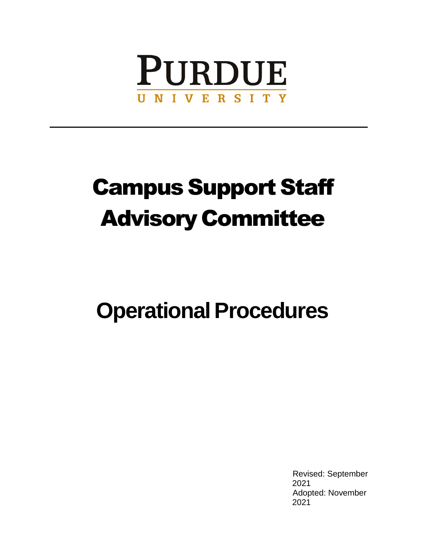

# Campus Support Staff Advisory Committee

# **Operational Procedures**

Revised: September 2021 Adopted: November 2021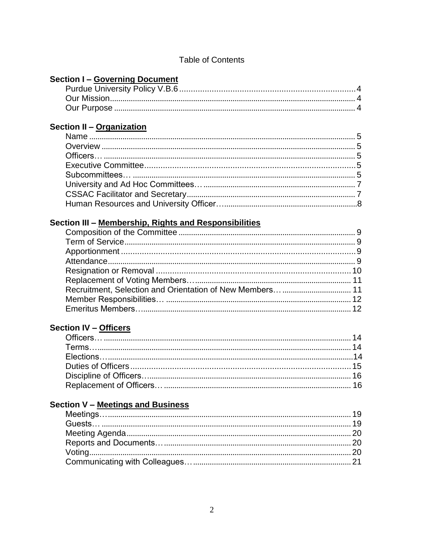| <b>Section I- Governing Document</b>                  |  |
|-------------------------------------------------------|--|
|                                                       |  |
|                                                       |  |
|                                                       |  |
| Section II - Organization                             |  |
|                                                       |  |
|                                                       |  |
|                                                       |  |
|                                                       |  |
|                                                       |  |
|                                                       |  |
|                                                       |  |
|                                                       |  |
|                                                       |  |
| Section III - Membership, Rights and Responsibilities |  |
|                                                       |  |
|                                                       |  |
|                                                       |  |
|                                                       |  |
|                                                       |  |
|                                                       |  |
|                                                       |  |
|                                                       |  |
|                                                       |  |
|                                                       |  |
| <b>Section IV - Officers</b>                          |  |
|                                                       |  |
|                                                       |  |
|                                                       |  |
|                                                       |  |
|                                                       |  |
|                                                       |  |
|                                                       |  |
| <b>Section V - Meetings and Business</b>              |  |
|                                                       |  |
|                                                       |  |
|                                                       |  |
|                                                       |  |
|                                                       |  |
|                                                       |  |
|                                                       |  |

#### **Table of Contents**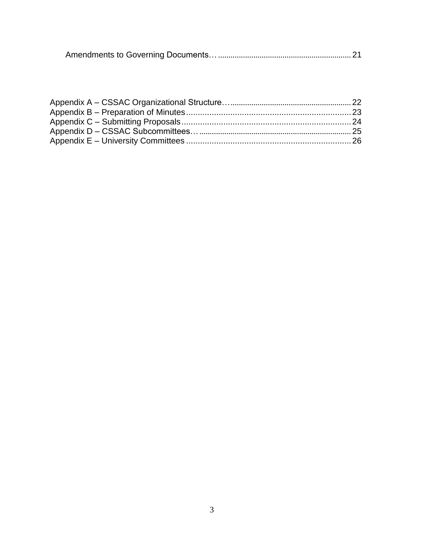|--|--|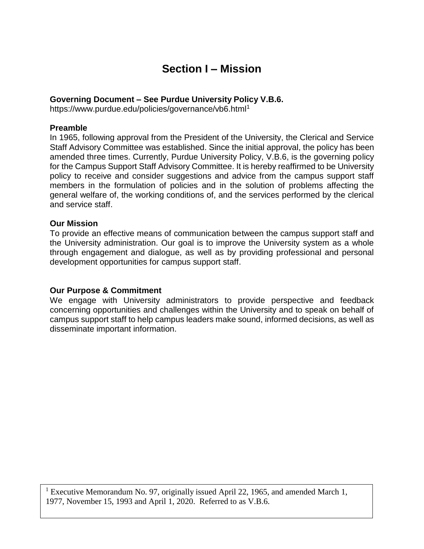## **Section I – Mission**

#### **Governing Document – See Purdue University Policy V.B.6.**

https:/[/www.purdue.edu/policies/governance/vb6.html](http://www.purdue.edu/policies/governance/vb6.html1)<sup>1</sup>

#### **Preamble**

In 1965, following approval from the President of the University, the Clerical and Service Staff Advisory Committee was established. Since the initial approval, the policy has been amended three times. Currently, Purdue University Policy, V.B.6, is the governing policy for the Campus Support Staff Advisory Committee. It is hereby reaffirmed to be University policy to receive and consider suggestions and advice from the campus support staff members in the formulation of policies and in the solution of problems affecting the general welfare of, the working conditions of, and the services performed by the clerical and service staff.

#### **Our Mission**

To provide an effective means of communication between the campus support staff and the University administration. Our goal is to improve the University system as a whole through engagement and dialogue, as well as by providing professional and personal development opportunities for campus support staff.

#### **Our Purpose & Commitment**

We engage with University administrators to provide perspective and feedback concerning opportunities and challenges within the University and to speak on behalf of campus support staff to help campus leaders make sound, informed decisions, as well as disseminate important information.

<sup>1</sup> Executive Memorandum No. 97, originally issued April 22, 1965, and amended March 1, 1977, November 15, 1993 and April 1, 2020. Referred to as V.B.6.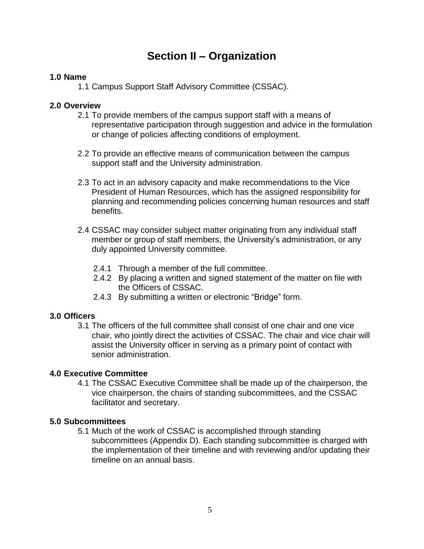## **Section II – Organization**

#### **1.0 Name**

1.1 Campus Support Staff Advisory Committee (CSSAC).

#### **2.0 Overview**

- 2.1 To provide members of the campus support staff with a means of representative participation through suggestion and advice in the formulation or change of policies affecting conditions of employment.
- 2.2 To provide an effective means of communication between the campus support staff and the University administration.
- 2.3 To act in an advisory capacity and make recommendations to the Vice President of Human Resources, which has the assigned responsibility for planning and recommending policies concerning human resources and staff benefits.
- 2.4 CSSAC may consider subject matter originating from any individual staff member or group of staff members, the University's administration, or any duly appointed University committee.
	- 2.4.1 Through a member of the full committee.
	- 2.4.2 By placing a written and signed statement of the matter on file with the Officers of CSSAC.
	- 2.4.3 By submitting a written or electronic "Bridge" form.

#### **3.0 Officers**

3.1 The officers of the full committee shall consist of one chair and one vice chair, who jointly direct the activities of CSSAC. The chair and vice chair will assist the University officer in serving as a primary point of contact with senior administration.

#### **4.0 Executive Committee**

4.1 The CSSAC Executive Committee shall be made up of the chairperson, the vice chairperson, the chairs of standing subcommittees, and the CSSAC facilitator and secretary.

#### **5.0 Subcommittees**

5.1 Much of the work of CSSAC is accomplished through standing subcommittees (Appendix D). Each standing subcommittee is charged with the implementation of their timeline and with reviewing and/or updating their timeline on an annual basis.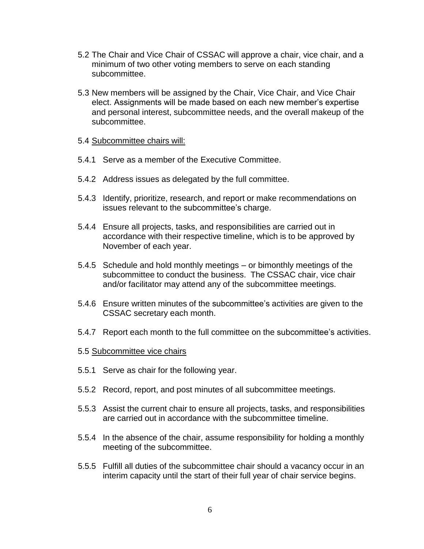- 5.2 The Chair and Vice Chair of CSSAC will approve a chair, vice chair, and a minimum of two other voting members to serve on each standing subcommittee.
- 5.3 New members will be assigned by the Chair, Vice Chair, and Vice Chair elect. Assignments will be made based on each new member's expertise and personal interest, subcommittee needs, and the overall makeup of the subcommittee.

#### 5.4 Subcommittee chairs will:

- 5.4.1 Serve as a member of the Executive Committee.
- 5.4.2 Address issues as delegated by the full committee.
- 5.4.3 Identify, prioritize, research, and report or make recommendations on issues relevant to the subcommittee's charge.
- 5.4.4 Ensure all projects, tasks, and responsibilities are carried out in accordance with their respective timeline, which is to be approved by November of each year.
- 5.4.5 Schedule and hold monthly meetings or bimonthly meetings of the subcommittee to conduct the business. The CSSAC chair, vice chair and/or facilitator may attend any of the subcommittee meetings.
- 5.4.6 Ensure written minutes of the subcommittee's activities are given to the CSSAC secretary each month.
- 5.4.7 Report each month to the full committee on the subcommittee's activities.
- 5.5 Subcommittee vice chairs
- 5.5.1 Serve as chair for the following year.
- 5.5.2 Record, report, and post minutes of all subcommittee meetings.
- 5.5.3 Assist the current chair to ensure all projects, tasks, and responsibilities are carried out in accordance with the subcommittee timeline.
- 5.5.4 In the absence of the chair, assume responsibility for holding a monthly meeting of the subcommittee.
- 5.5.5 Fulfill all duties of the subcommittee chair should a vacancy occur in an interim capacity until the start of their full year of chair service begins.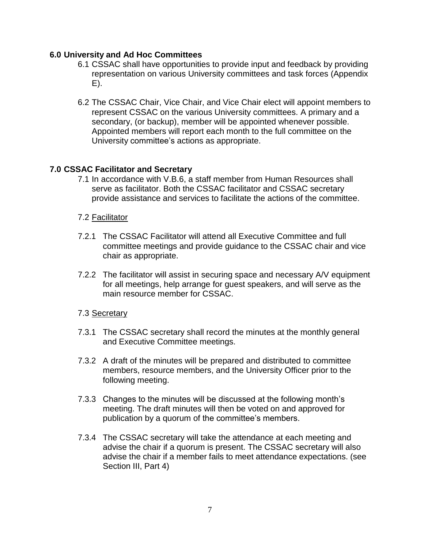#### **6.0 University and Ad Hoc Committees**

- 6.1 CSSAC shall have opportunities to provide input and feedback by providing representation on various University committees and task forces (Appendix E).
- 6.2 The CSSAC Chair, Vice Chair, and Vice Chair elect will appoint members to represent CSSAC on the various University committees. A primary and a secondary, (or backup), member will be appointed whenever possible. Appointed members will report each month to the full committee on the University committee's actions as appropriate.

#### **7.0 CSSAC Facilitator and Secretary**

7.1 In accordance with V.B.6, a staff member from Human Resources shall serve as facilitator. Both the CSSAC facilitator and CSSAC secretary provide assistance and services to facilitate the actions of the committee.

#### 7.2 Facilitator

- 7.2.1 The CSSAC Facilitator will attend all Executive Committee and full committee meetings and provide guidance to the CSSAC chair and vice chair as appropriate.
- 7.2.2 The facilitator will assist in securing space and necessary A/V equipment for all meetings, help arrange for guest speakers, and will serve as the main resource member for CSSAC.

#### 7.3 Secretary

- 7.3.1 The CSSAC secretary shall record the minutes at the monthly general and Executive Committee meetings.
- 7.3.2 A draft of the minutes will be prepared and distributed to committee members, resource members, and the University Officer prior to the following meeting.
- 7.3.3 Changes to the minutes will be discussed at the following month's meeting. The draft minutes will then be voted on and approved for publication by a quorum of the committee's members.
- 7.3.4 The CSSAC secretary will take the attendance at each meeting and advise the chair if a quorum is present. The CSSAC secretary will also advise the chair if a member fails to meet attendance expectations. (see Section III, Part 4)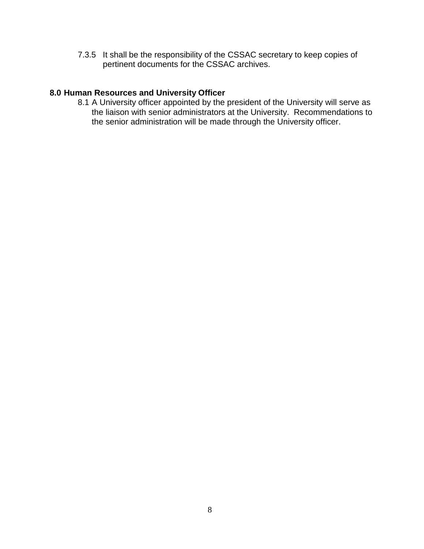7.3.5 It shall be the responsibility of the CSSAC secretary to keep copies of pertinent documents for the CSSAC archives.

#### **8.0 Human Resources and University Officer**

8.1 A University officer appointed by the president of the University will serve as the liaison with senior administrators at the University. Recommendations to the senior administration will be made through the University officer.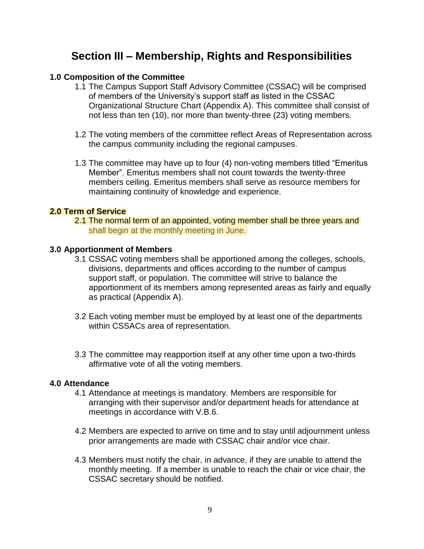## **Section III – Membership, Rights and Responsibilities**

#### **1.0 Composition of the Committee**

- 1.1 The Campus Support Staff Advisory Committee (CSSAC) will be comprised of members of the University's support staff as listed in the CSSAC Organizational Structure Chart (Appendix A). This committee shall consist of not less than ten (10), nor more than twenty-three (23) voting members.
- 1.2 The voting members of the committee reflect Areas of Representation across the campus community including the regional campuses.
- 1.3 The committee may have up to four (4) non-voting members titled "Emeritus Member". Emeritus members shall not count towards the twenty-three members ceiling. Emeritus members shall serve as resource members for maintaining continuity of knowledge and experience.

#### **2.0 Term of Service**

shall begin at the monthly meeting in June. 2.1 The normal term of an appointed, voting member shall be three years and

#### **3.0 Apportionment of Members**

- 3.1 CSSAC voting members shall be apportioned among the colleges, schools, divisions, departments and offices according to the number of campus support staff, or population. The committee will strive to balance the apportionment of its members among represented areas as fairly and equally as practical (Appendix A).
- 3.2 Each voting member must be employed by at least one of the departments within CSSACs area of representation.
- 3.3 The committee may reapportion itself at any other time upon a two-thirds affirmative vote of all the voting members.

#### **4.0 Attendance**

- 4.1 Attendance at meetings is mandatory. Members are responsible for arranging with their supervisor and/or department heads for attendance at meetings in accordance with V.B.6.
- 4.2 Members are expected to arrive on time and to stay until adjournment unless prior arrangements are made with CSSAC chair and/or vice chair.
- 4.3 Members must notify the chair, in advance, if they are unable to attend the monthly meeting. If a member is unable to reach the chair or vice chair, the CSSAC secretary should be notified.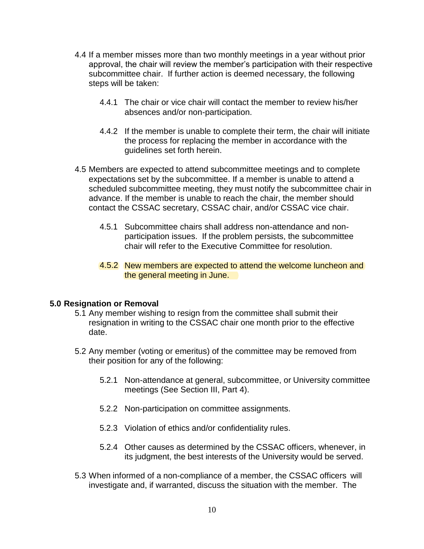- 4.4 If a member misses more than two monthly meetings in a year without prior approval, the chair will review the member's participation with their respective subcommittee chair. If further action is deemed necessary, the following steps will be taken:
	- 4.4.1 The chair or vice chair will contact the member to review his/her absences and/or non-participation.
	- 4.4.2 If the member is unable to complete their term, the chair will initiate the process for replacing the member in accordance with the guidelines set forth herein.
- 4.5 Members are expected to attend subcommittee meetings and to complete expectations set by the subcommittee. If a member is unable to attend a scheduled subcommittee meeting, they must notify the subcommittee chair in advance. If the member is unable to reach the chair, the member should contact the CSSAC secretary, CSSAC chair, and/or CSSAC vice chair.
	- 4.5.1 Subcommittee chairs shall address non-attendance and nonparticipation issues. If the problem persists, the subcommittee chair will refer to the Executive Committee for resolution.
	- 4.5.2 New members are expected to attend the welcome luncheon and the general meeting in June.

#### **5.0 Resignation or Removal**

- 5.1 Any member wishing to resign from the committee shall submit their resignation in writing to the CSSAC chair one month prior to the effective date.
- 5.2 Any member (voting or emeritus) of the committee may be removed from their position for any of the following:
	- 5.2.1 Non-attendance at general, subcommittee, or University committee meetings (See Section III, Part 4).
	- 5.2.2 Non-participation on committee assignments.
	- 5.2.3 Violation of ethics and/or confidentiality rules.
	- 5.2.4 Other causes as determined by the CSSAC officers, whenever, in its judgment, the best interests of the University would be served.
- 5.3 When informed of a non-compliance of a member, the CSSAC officers will investigate and, if warranted, discuss the situation with the member. The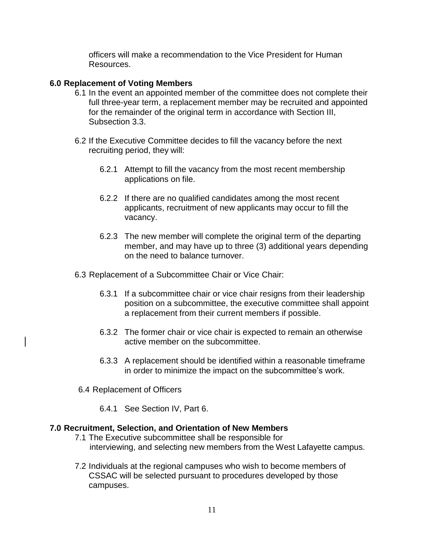officers will make a recommendation to the Vice President for Human Resources.

#### **6.0 Replacement of Voting Members**

- 6.1 In the event an appointed member of the committee does not complete their full three-year term, a replacement member may be recruited and appointed for the remainder of the original term in accordance with Section III, Subsection 3.3.
- 6.2 If the Executive Committee decides to fill the vacancy before the next recruiting period, they will:
	- 6.2.1 Attempt to fill the vacancy from the most recent membership applications on file.
	- 6.2.2 If there are no qualified candidates among the most recent applicants, recruitment of new applicants may occur to fill the vacancy.
	- 6.2.3 The new member will complete the original term of the departing member, and may have up to three (3) additional years depending on the need to balance turnover.
- 6.3 Replacement of a Subcommittee Chair or Vice Chair:
	- 6.3.1 If a subcommittee chair or vice chair resigns from their leadership position on a subcommittee, the executive committee shall appoint a replacement from their current members if possible.
	- 6.3.2 The former chair or vice chair is expected to remain an otherwise active member on the subcommittee.
	- 6.3.3 A replacement should be identified within a reasonable timeframe in order to minimize the impact on the subcommittee's work.
- 6.4 Replacement of Officers
	- 6.4.1 See Section IV, Part 6.

#### **7.0 Recruitment, Selection, and Orientation of New Members**

- 7.1 The Executive subcommittee shall be responsible for interviewing, and selecting new members from the West Lafayette campus.
- 7.2 Individuals at the regional campuses who wish to become members of CSSAC will be selected pursuant to procedures developed by those campuses.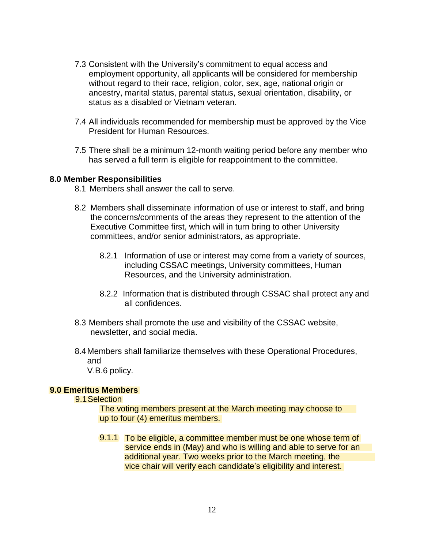- 7.3 Consistent with the University's commitment to equal access and employment opportunity, all applicants will be considered for membership without regard to their race, religion, color, sex, age, national origin or ancestry, marital status, parental status, sexual orientation, disability, or status as a disabled or Vietnam veteran.
- 7.4 All individuals recommended for membership must be approved by the Vice President for Human Resources.
- 7.5 There shall be a minimum 12-month waiting period before any member who has served a full term is eligible for reappointment to the committee.

#### **8.0 Member Responsibilities**

- 8.1 Members shall answer the call to serve.
- 8.2 Members shall disseminate information of use or interest to staff, and bring the concerns/comments of the areas they represent to the attention of the Executive Committee first, which will in turn bring to other University committees, and/or senior administrators, as appropriate.
	- 8.2.1 Information of use or interest may come from a variety of sources, including CSSAC meetings, University committees, Human Resources, and the University administration.
	- 8.2.2 Information that is distributed through CSSAC shall protect any and all confidences.
- 8.3 Members shall promote the use and visibility of the CSSAC website, newsletter, and social media.
- 8.4Members shall familiarize themselves with these Operational Procedures, and

V.B.6 policy.

#### **9.0 Emeritus Members**

9.1Selection

up to four (4) emeritus members. The voting members present at the March meeting may choose to

vice chair will verify each candidate's eligibility and interest. additional year. Two weeks prior to the March meeting, the service ends in (May) and who is willing and able to serve for an 9.1.1 To be eligible, a committee member must be one whose term of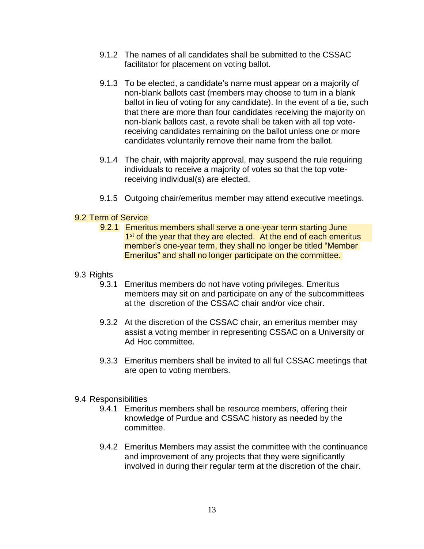- 9.1.2 The names of all candidates shall be submitted to the CSSAC facilitator for placement on voting ballot.
- 9.1.3 To be elected, a candidate's name must appear on a majority of non-blank ballots cast (members may choose to turn in a blank ballot in lieu of voting for any candidate). In the event of a tie, such that there are more than four candidates receiving the majority on non-blank ballots cast, a revote shall be taken with all top votereceiving candidates remaining on the ballot unless one or more candidates voluntarily remove their name from the ballot.
- 9.1.4 The chair, with majority approval, may suspend the rule requiring individuals to receive a majority of votes so that the top votereceiving individual(s) are elected.
- 9.1.5 Outgoing chair/emeritus member may attend executive meetings.

#### 9.2 Term of Service

- Emeritus" and shall no longer participate on the committee. member's one-year term, they shall no longer be titled "Member 9.2.1 Emeritus members shall serve a one-year term starting June 1<sup>st</sup> of the year that they are elected. At the end of each emeritus
- 9.3 Rights
	- 9.3.1 Emeritus members do not have voting privileges. Emeritus members may sit on and participate on any of the subcommittees at the discretion of the CSSAC chair and/or vice chair.
	- 9.3.2 At the discretion of the CSSAC chair, an emeritus member may assist a voting member in representing CSSAC on a University or Ad Hoc committee.
	- 9.3.3 Emeritus members shall be invited to all full CSSAC meetings that are open to voting members.

#### 9.4 Responsibilities

- 9.4.1 Emeritus members shall be resource members, offering their knowledge of Purdue and CSSAC history as needed by the committee.
- 9.4.2 Emeritus Members may assist the committee with the continuance and improvement of any projects that they were significantly involved in during their regular term at the discretion of the chair.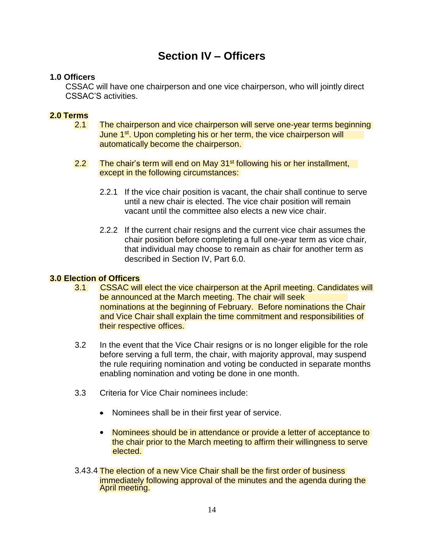## **Section IV – Officers**

#### **1.0 Officers**

CSSAC will have one chairperson and one vice chairperson, who will jointly direct CSSAC'S activities.

#### **2.0 Terms**

- automatically become the chairperson. June 1<sup>st</sup>. Upon completing his or her term, the vice chairperson will 2.1 The chairperson and vice chairperson will serve one-year terms beginning
- except in the following circumstances: 2.2 The chair's term will end on May  $31<sup>st</sup>$  following his or her installment,
	- 2.2.1 If the vice chair position is vacant, the chair shall continue to serve until a new chair is elected. The vice chair position will remain vacant until the committee also elects a new vice chair.
	- 2.2.2 If the current chair resigns and the current vice chair assumes the chair position before completing a full one-year term as vice chair, that individual may choose to remain as chair for another term as described in Section IV, Part 6.0.

#### **3.0 Election of Officers**

- their respective offices. and Vice Chair shall explain the time commitment and responsibilities of nominations at the beginning of February. Before nominations the Chair be announced at the March meeting. The chair will seek 3.1 CSSAC will elect the vice chairperson at the April meeting. Candidates will
- 3.2 In the event that the Vice Chair resigns or is no longer eligible for the role before serving a full term, the chair, with majority approval, may suspend the rule requiring nomination and voting be conducted in separate months enabling nomination and voting be done in one month.
- 3.3 Criteria for Vice Chair nominees include:
	- Nominees shall be in their first year of service.
	- Nominees should be in attendance or provide a letter of acceptance to elected. the chair prior to the March meeting to affirm their willingness to serve
- 3.43.4 The election of a new Vice Chair shall be the first order of business April meeting. immediately following approval of the minutes and the agenda during the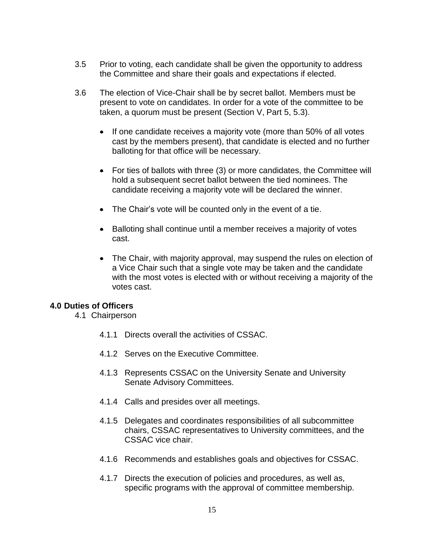- 3.5 Prior to voting, each candidate shall be given the opportunity to address the Committee and share their goals and expectations if elected.
- 3.6 The election of Vice-Chair shall be by secret ballot. Members must be present to vote on candidates. In order for a vote of the committee to be taken, a quorum must be present (Section V, Part 5, 5.3).
	- $\bullet$  If one candidate receives a majority vote (more than 50% of all votes cast by the members present), that candidate is elected and no further balloting for that office will be necessary.
	- For ties of ballots with three (3) or more candidates, the Committee will hold a subsequent secret ballot between the tied nominees. The candidate receiving a majority vote will be declared the winner.
	- The Chair's vote will be counted only in the event of a tie.
	- Balloting shall continue until a member receives a majority of votes cast.
	- The Chair, with majority approval, may suspend the rules on election of a Vice Chair such that a single vote may be taken and the candidate with the most votes is elected with or without receiving a majority of the votes cast.

#### **4.0 Duties of Officers**

- 4.1 Chairperson
	- 4.1.1 Directs overall the activities of CSSAC.
	- 4.1.2 Serves on the Executive Committee.
	- 4.1.3 Represents CSSAC on the University Senate and University Senate Advisory Committees.
	- 4.1.4 Calls and presides over all meetings.
	- 4.1.5 Delegates and coordinates responsibilities of all subcommittee chairs, CSSAC representatives to University committees, and the CSSAC vice chair.
	- 4.1.6 Recommends and establishes goals and objectives for CSSAC.
	- 4.1.7 Directs the execution of policies and procedures, as well as, specific programs with the approval of committee membership.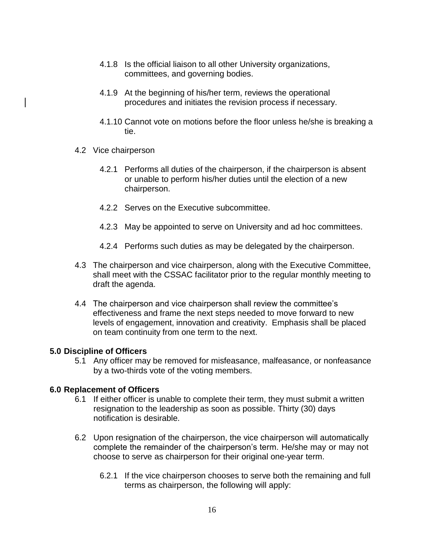- 4.1.8 Is the official liaison to all other University organizations, committees, and governing bodies.
- 4.1.9 At the beginning of his/her term, reviews the operational procedures and initiates the revision process if necessary.
- 4.1.10 Cannot vote on motions before the floor unless he/she is breaking a tie.
- 4.2 Vice chairperson
	- 4.2.1 Performs all duties of the chairperson, if the chairperson is absent or unable to perform his/her duties until the election of a new chairperson.
	- 4.2.2 Serves on the Executive subcommittee.
	- 4.2.3 May be appointed to serve on University and ad hoc committees.
	- 4.2.4 Performs such duties as may be delegated by the chairperson.
- 4.3 The chairperson and vice chairperson, along with the Executive Committee, shall meet with the CSSAC facilitator prior to the regular monthly meeting to draft the agenda.
- 4.4 The chairperson and vice chairperson shall review the committee's effectiveness and frame the next steps needed to move forward to new levels of engagement, innovation and creativity. Emphasis shall be placed on team continuity from one term to the next.

#### **5.0 Discipline of Officers**

5.1 Any officer may be removed for misfeasance, malfeasance, or nonfeasance by a two-thirds vote of the voting members.

#### **6.0 Replacement of Officers**

- 6.1 If either officer is unable to complete their term, they must submit a written resignation to the leadership as soon as possible. Thirty (30) days notification is desirable.
- 6.2 Upon resignation of the chairperson, the vice chairperson will automatically complete the remainder of the chairperson's term. He/she may or may not choose to serve as chairperson for their original one-year term.
	- 6.2.1 If the vice chairperson chooses to serve both the remaining and full terms as chairperson, the following will apply: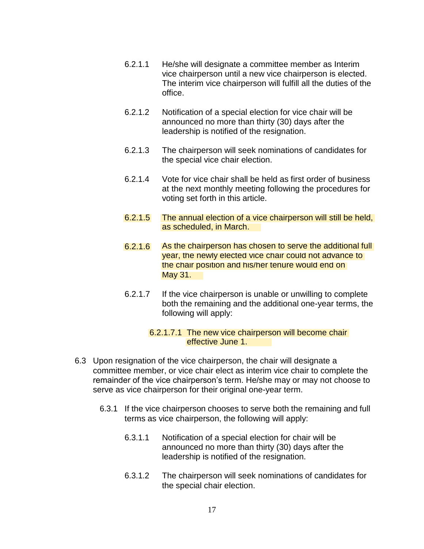- 6.2.1.1 He/she will designate a committee member as Interim vice chairperson until a new vice chairperson is elected. The interim vice chairperson will fulfill all the duties of the office.
- 6.2.1.2 Notification of a special election for vice chair will be announced no more than thirty (30) days after the leadership is notified of the resignation.
- 6.2.1.3 The chairperson will seek nominations of candidates for the special vice chair election.
- 6.2.1.4 Vote for vice chair shall be held as first order of business at the next monthly meeting following the procedures for voting set forth in this article.
- as scheduled, in March. 6.2.1.5 The annual election of a vice chairperson will still be held,
- 6.2.1.6 As the chairperson has chosen to serve the additional full year, the newly elected vice chair could not advance to the chair position and his/her tenure would end on May 31.
- 6.2.1.7 If the vice chairperson is unable or unwilling to complete both the remaining and the additional one-year terms, the following will apply:

#### effective June 1. 6.2.1.7.1 The new vice chairperson will become chair

- 6.3 Upon resignation of the vice chairperson, the chair will designate a committee member, or vice chair elect as interim vice chair to complete the remainder of the vice chairperson's term. He/she may or may not choose to serve as vice chairperson for their original one-year term.
	- 6.3.1 If the vice chairperson chooses to serve both the remaining and full terms as vice chairperson, the following will apply:
		- 6.3.1.1 Notification of a special election for chair will be announced no more than thirty (30) days after the leadership is notified of the resignation.
		- 6.3.1.2 The chairperson will seek nominations of candidates for the special chair election.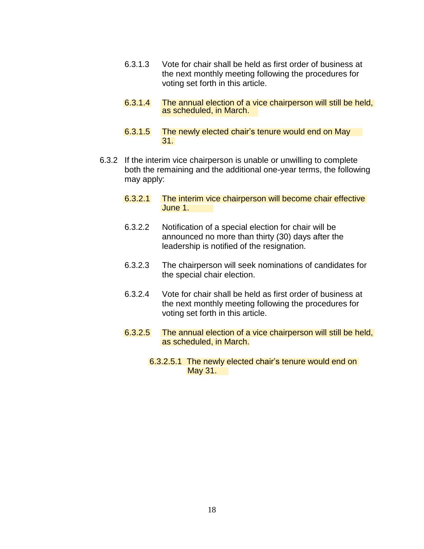- 6.3.1.3 Vote for chair shall be held as first order of business at the next monthly meeting following the procedures for voting set forth in this article.
- as scheduled, in March. 6.3.1.4 The annual election of a vice chairperson will still be held,
- 31. 6.3.1.5 The newly elected chair's tenure would end on May
- 6.3.2 If the interim vice chairperson is unable or unwilling to complete both the remaining and the additional one-year terms, the following may apply:
	- June 1. 6.3.2.1 The interim vice chairperson will become chair effective
	- 6.3.2.2 Notification of a special election for chair will be announced no more than thirty (30) days after the leadership is notified of the resignation.
	- 6.3.2.3 The chairperson will seek nominations of candidates for the special chair election.
	- 6.3.2.4 Vote for chair shall be held as first order of business at the next monthly meeting following the procedures for voting set forth in this article.
	- as scheduled, in March. 6.3.2.5 The annual election of a vice chairperson will still be held,
		- May 31. 6.3.2.5.1 The newly elected chair's tenure would end on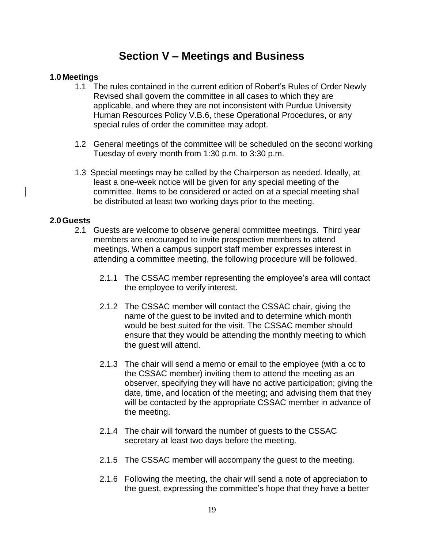## **Section V – Meetings and Business**

#### **1.0 Meetings**

- 1.1 The rules contained in the current edition of Robert's Rules of Order Newly Revised shall govern the committee in all cases to which they are applicable, and where they are not inconsistent with Purdue University Human Resources Policy V.B.6, these Operational Procedures, or any special rules of order the committee may adopt.
- 1.2 General meetings of the committee will be scheduled on the second working Tuesday of every month from 1:30 p.m. to 3:30 p.m.
- 1.3 Special meetings may be called by the Chairperson as needed. Ideally, at least a one-week notice will be given for any special meeting of the committee. Items to be considered or acted on at a special meeting shall be distributed at least two working days prior to the meeting.

#### **2.0Guests**

- 2.1 Guests are welcome to observe general committee meetings. Third year members are encouraged to invite prospective members to attend meetings. When a campus support staff member expresses interest in attending a committee meeting, the following procedure will be followed.
	- 2.1.1 The CSSAC member representing the employee's area will contact the employee to verify interest.
	- 2.1.2 The CSSAC member will contact the CSSAC chair, giving the name of the guest to be invited and to determine which month would be best suited for the visit. The CSSAC member should ensure that they would be attending the monthly meeting to which the guest will attend.
	- 2.1.3 The chair will send a memo or email to the employee (with a cc to the CSSAC member) inviting them to attend the meeting as an observer, specifying they will have no active participation; giving the date, time, and location of the meeting; and advising them that they will be contacted by the appropriate CSSAC member in advance of the meeting.
	- 2.1.4 The chair will forward the number of guests to the CSSAC secretary at least two days before the meeting.
	- 2.1.5 The CSSAC member will accompany the guest to the meeting.
	- 2.1.6 Following the meeting, the chair will send a note of appreciation to the guest, expressing the committee's hope that they have a better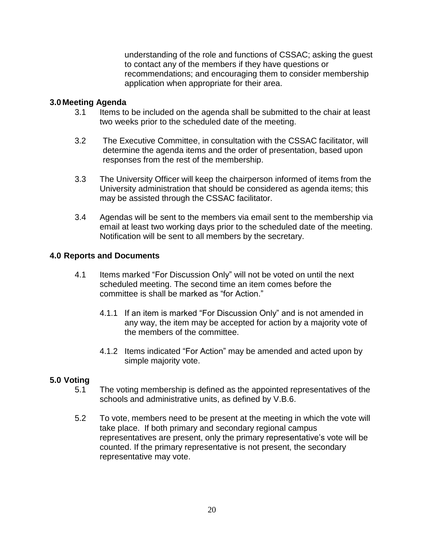understanding of the role and functions of CSSAC; asking the guest to contact any of the members if they have questions or recommendations; and encouraging them to consider membership application when appropriate for their area.

#### **3.0 Meeting Agenda**

- 3.1 Items to be included on the agenda shall be submitted to the chair at least two weeks prior to the scheduled date of the meeting.
- 3.2 The Executive Committee, in consultation with the CSSAC facilitator, will determine the agenda items and the order of presentation, based upon responses from the rest of the membership.
- 3.3 The University Officer will keep the chairperson informed of items from the University administration that should be considered as agenda items; this may be assisted through the CSSAC facilitator.
- 3.4 Agendas will be sent to the members via email sent to the membership via email at least two working days prior to the scheduled date of the meeting. Notification will be sent to all members by the secretary.

#### **4.0 Reports and Documents**

- 4.1 Items marked "For Discussion Only" will not be voted on until the next scheduled meeting. The second time an item comes before the committee is shall be marked as "for Action."
	- 4.1.1 If an item is marked "For Discussion Only" and is not amended in any way, the item may be accepted for action by a majority vote of the members of the committee.
	- 4.1.2 Items indicated "For Action" may be amended and acted upon by simple majority vote.

#### **5.0 Voting**

- 5.1 The voting membership is defined as the appointed representatives of the schools and administrative units, as defined by V.B.6.
- 5.2 To vote, members need to be present at the meeting in which the vote will take place. If both primary and secondary regional campus representatives are present, only the primary representative's vote will be counted. If the primary representative is not present, the secondary representative may vote.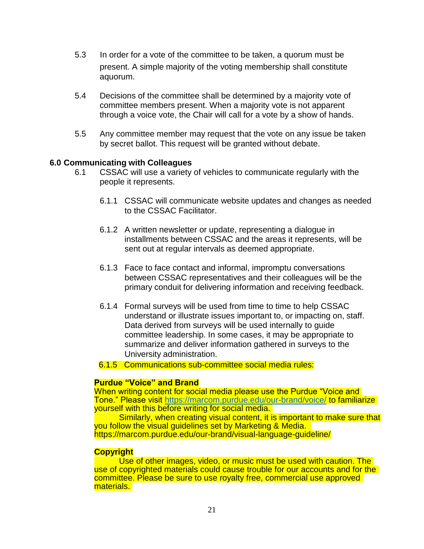- 5.3 In order for a vote of the committee to be taken, a quorum must be present. A simple majority of the voting membership shall constitute aquorum.
- 5.4 Decisions of the committee shall be determined by a majority vote of committee members present. When a majority vote is not apparent through a voice vote, the Chair will call for a vote by a show of hands.
- 5.5 Any committee member may request that the vote on any issue be taken by secret ballot. This request will be granted without debate.

#### **6.0 Communicating with Colleagues**

- 6.1 CSSAC will use a variety of vehicles to communicate regularly with the people it represents.
	- 6.1.1 CSSAC will communicate website updates and changes as needed to the CSSAC Facilitator.
	- 6.1.2 A written newsletter or update, representing a dialogue in installments between CSSAC and the areas it represents, will be sent out at regular intervals as deemed appropriate.
	- 6.1.3 Face to face contact and informal, impromptu conversations between CSSAC representatives and their colleagues will be the primary conduit for delivering information and receiving feedback.
	- 6.1.4 Formal surveys will be used from time to time to help CSSAC understand or illustrate issues important to, or impacting on, staff. Data derived from surveys will be used internally to guide committee leadership. In some cases, it may be appropriate to summarize and deliver information gathered in surveys to the University administration.
	- 6.1.5 Communications sub-committee social media rules:

#### **Purdue "Voice" and Brand**

When writing content for social media please use the Purdue "Voice and Tone." Please visit<https://marcom.purdue.edu/our-brand/voice/> to familiarize yourself with this before writing for social media.

Similarly, when creating visual content, it is important to make sure that you follow the visual guidelines set by Marketing & Media. https://marcom.purdue.edu/our-brand/visual-language-guideline/

#### **Copyright**

Use of other images, video, or music must be used with caution. The use of copyrighted materials could cause trouble for our accounts and for the committee. Please be sure to use royalty free, commercial use approved materials.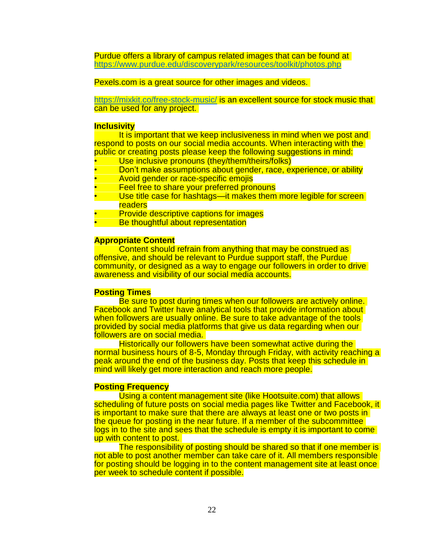Purdue offers a library of campus related images that can be found at <https://www.purdue.edu/discoverypark/resources/toolkit/photos.php>

Pexels.com is a great source for other images and videos.

<https://mixkit.co/free-stock-music/> is an excellent source for stock music that can be used for any project.

#### **Inclusivity**

It is important that we keep inclusiveness in mind when we post and respond to posts on our social media accounts. When interacting with the public or creating posts please keep the following suggestions in mind:

- Use inclusive pronouns (they/them/theirs/folks)
- Don't make assumptions about gender, race, experience, or ability
- Avoid gender or race-specific emojis
- Feel free to share your preferred pronouns
- Use title case for hashtags—it makes them more legible for screen readers
- Provide descriptive captions for images
- Be thoughtful about representation

#### **Appropriate Content**

Content should refrain from anything that may be construed as offensive, and should be relevant to Purdue support staff, the Purdue community, or designed as a way to engage our followers in order to drive awareness and visibility of our social media accounts.

#### **Posting Times**

Be sure to post during times when our followers are actively online. Facebook and Twitter have analytical tools that provide information about when followers are usually online. Be sure to take advantage of the tools provided by social media platforms that give us data regarding when our followers are on social media.

Historically our followers have been somewhat active during the normal business hours of 8-5, Monday through Friday, with activity reaching a peak around the end of the business day. Posts that keep this schedule in mind will likely get more interaction and reach more people.

#### **Posting Frequency**

Using a content management site (like Hootsuite.com) that allows scheduling of future posts on social media pages like Twitter and Facebook, it is important to make sure that there are always at least one or two posts in the queue for posting in the near future. If a member of the subcommittee logs in to the site and sees that the schedule is empty it is important to come up with content to post.

The responsibility of posting should be shared so that if one member is not able to post another member can take care of it. All members responsible for posting should be logging in to the content management site at least once per week to schedule content if possible.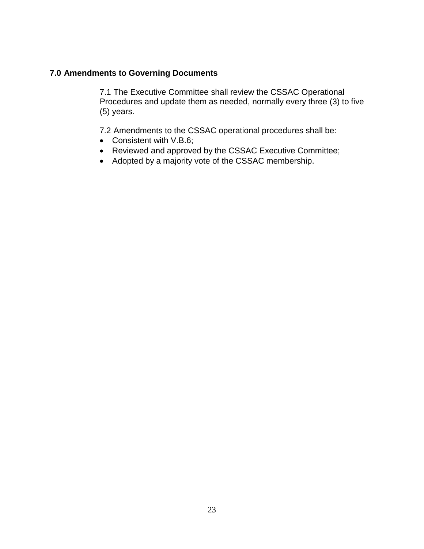#### **7.0 Amendments to Governing Documents**

7.1 The Executive Committee shall review the CSSAC Operational Procedures and update them as needed, normally every three (3) to five (5) years.

7.2 Amendments to the CSSAC operational procedures shall be:

- Consistent with V.B.6;
- Reviewed and approved by the CSSAC Executive Committee;
- Adopted by a majority vote of the CSSAC membership.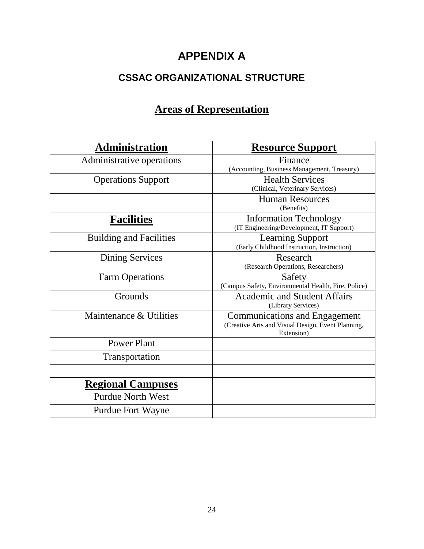# **APPENDIX A**

## **CSSAC ORGANIZATIONAL STRUCTURE**

# **Areas of Representation**

| <b>Administration</b>          | <b>Resource Support</b>                                                                                 |
|--------------------------------|---------------------------------------------------------------------------------------------------------|
| Administrative operations      | Finance<br>(Accounting, Business Management, Treasury)                                                  |
| <b>Operations Support</b>      | <b>Health Services</b><br>(Clinical, Veterinary Services)                                               |
|                                | <b>Human Resources</b><br>(Benefits)                                                                    |
| <b>Facilities</b>              | <b>Information Technology</b><br>(IT Engineering/Development, IT Support)                               |
| <b>Building and Facilities</b> | <b>Learning Support</b><br>(Early Childhood Instruction, Instruction)                                   |
| <b>Dining Services</b>         | Research<br>(Research Operations, Researchers)                                                          |
| <b>Farm Operations</b>         | Safety<br>(Campus Safety, Environmental Health, Fire, Police)                                           |
| Grounds                        | <b>Academic and Student Affairs</b><br>(Library Services)                                               |
| Maintenance & Utilities        | <b>Communications and Engagement</b><br>(Creative Arts and Visual Design, Event Planning,<br>Extension) |
| <b>Power Plant</b>             |                                                                                                         |
| Transportation                 |                                                                                                         |
|                                |                                                                                                         |
| <b>Regional Campuses</b>       |                                                                                                         |
| <b>Purdue North West</b>       |                                                                                                         |
| <b>Purdue Fort Wayne</b>       |                                                                                                         |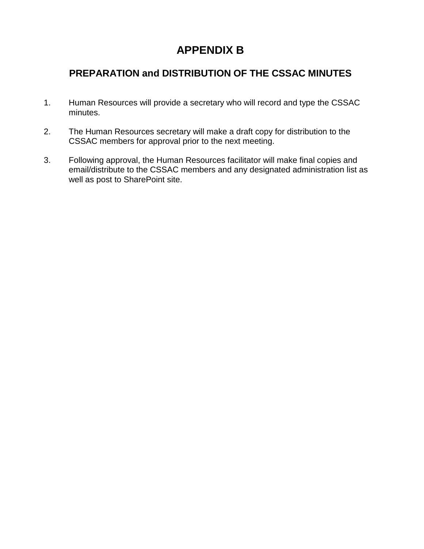# **APPENDIX B**

## **PREPARATION and DISTRIBUTION OF THE CSSAC MINUTES**

- 1. Human Resources will provide a secretary who will record and type the CSSAC minutes.
- 2. The Human Resources secretary will make a draft copy for distribution to the CSSAC members for approval prior to the next meeting.
- 3. Following approval, the Human Resources facilitator will make final copies and email/distribute to the CSSAC members and any designated administration list as well as post to SharePoint site.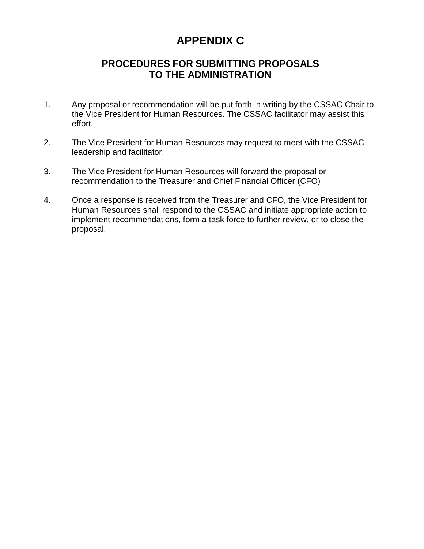# **APPENDIX C**

### **PROCEDURES FOR SUBMITTING PROPOSALS TO THE ADMINISTRATION**

- 1. Any proposal or recommendation will be put forth in writing by the CSSAC Chair to the Vice President for Human Resources. The CSSAC facilitator may assist this effort.
- 2. The Vice President for Human Resources may request to meet with the CSSAC leadership and facilitator.
- 3. The Vice President for Human Resources will forward the proposal or recommendation to the Treasurer and Chief Financial Officer (CFO)
- 4. Once a response is received from the Treasurer and CFO, the Vice President for Human Resources shall respond to the CSSAC and initiate appropriate action to implement recommendations, form a task force to further review, or to close the proposal.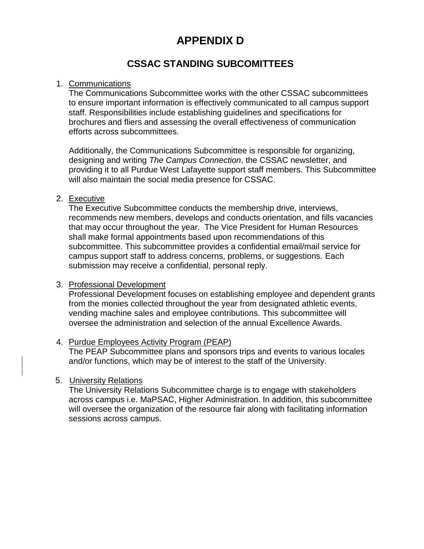# **APPENDIX D**

### **CSSAC STANDING SUBCOMITTEES**

#### 1. Communications

The Communications Subcommittee works with the other CSSAC subcommittees to ensure important information is effectively communicated to all campus support staff. Responsibilities include establishing guidelines and specifications for brochures and fliers and assessing the overall effectiveness of communication efforts across subcommittees.

Additionally, the Communications Subcommittee is responsible for organizing, designing and writing *The Campus Connection*, the CSSAC newsletter, and providing it to all Purdue West Lafayette support staff members. This Subcommittee will also maintain the social media presence for CSSAC.

#### 2. Executive

The Executive Subcommittee conducts the membership drive, interviews, recommends new members, develops and conducts orientation, and fills vacancies that may occur throughout the year. The Vice President for Human Resources shall make formal appointments based upon recommendations of this subcommittee. This subcommittee provides a confidential email/mail service for campus support staff to address concerns, problems, or suggestions. Each submission may receive a confidential, personal reply.

#### 3. Professional Development

Professional Development focuses on establishing employee and dependent grants from the monies collected throughout the year from designated athletic events, vending machine sales and employee contributions. This subcommittee will oversee the administration and selection of the annual Excellence Awards.

#### 4. Purdue Employees Activity Program (PEAP)

The PEAP Subcommittee plans and sponsors trips and events to various locales and/or functions, which may be of interest to the staff of the University.

#### 5. University Relations

The University Relations Subcommittee charge is to engage with stakeholders across campus i.e. MaPSAC, Higher Administration. In addition, this subcommittee will oversee the organization of the resource fair along with facilitating information sessions across campus.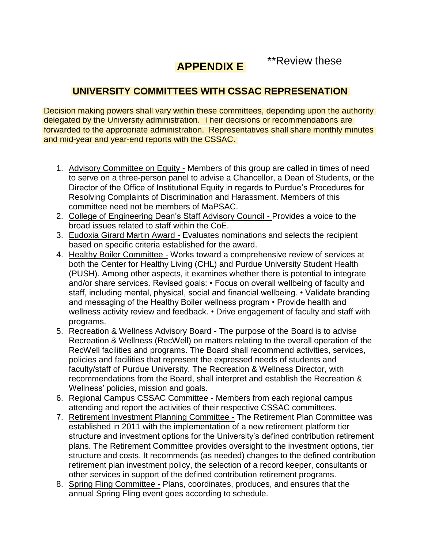\*\*Review these

## **APPENDIX E**

## **UNIVERSITY COMMITTEES WITH CSSAC REPRESENATION**

Decision making powers shall vary within these committees, depending upon the authority delegated by the University administration. Their decisions or recommendations are forwarded to the appropriate administration. Representatives shall share monthly minutes and mid-year and year-end reports with the CSSAC.

- 1. Advisory Committee on Equity Members of this group are called in times of need to serve on a three-person panel to advise a Chancellor, a Dean of Students, or the Director of the Office of Institutional Equity in regards to Purdue's Procedures for Resolving Complaints of Discrimination and Harassment. Members of this committee need not be members of MaPSAC.
- 2. College of Engineering Dean's Staff Advisory Council Provides a voice to the broad issues related to staff within the CoE.
- 3. Eudoxia Girard Martin Award Evaluates nominations and selects the recipient based on specific criteria established for the award.
- 4. Healthy Boiler Committee Works toward a comprehensive review of services at both the Center for Healthy Living (CHL) and Purdue University Student Health (PUSH). Among other aspects, it examines whether there is potential to integrate and/or share services. Revised goals: • Focus on overall wellbeing of faculty and staff, including mental, physical, social and financial wellbeing. • Validate branding and messaging of the Healthy Boiler wellness program • Provide health and wellness activity review and feedback. • Drive engagement of faculty and staff with programs.
- 5. Recreation & Wellness Advisory Board The purpose of the Board is to advise Recreation & Wellness (RecWell) on matters relating to the overall operation of the RecWell facilities and programs. The Board shall recommend activities, services, policies and facilities that represent the expressed needs of students and faculty/staff of Purdue University. The Recreation & Wellness Director, with recommendations from the Board, shall interpret and establish the Recreation & Wellness' policies, mission and goals.
- 6. Regional Campus CSSAC Committee Members from each regional campus attending and report the activities of their respective CSSAC committees.
- 7. Retirement Investment Planning Committee The Retirement Plan Committee was established in 2011 with the implementation of a new retirement platform tier structure and investment options for the University's defined contribution retirement plans. The Retirement Committee provides oversight to the investment options, tier structure and costs. It recommends (as needed) changes to the defined contribution retirement plan investment policy, the selection of a record keeper, consultants or other services in support of the defined contribution retirement programs.
- 8. Spring Fling Committee Plans, coordinates, produces, and ensures that the annual Spring Fling event goes according to schedule.